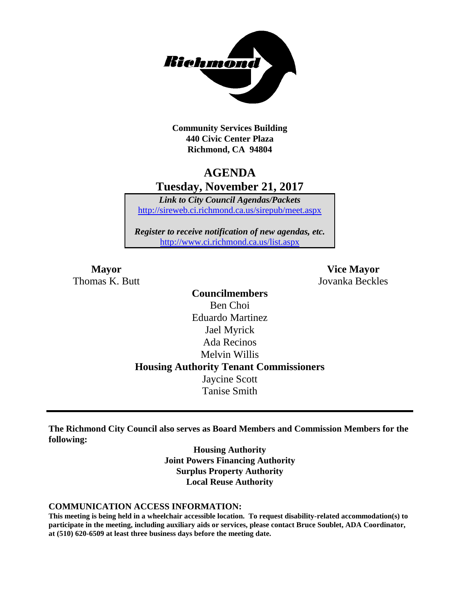

**Community Services Building 440 Civic Center Plaza Richmond, CA 94804**

# **AGENDA Tuesday, November 21, 2017**

*Link to City Council Agendas/Packets* <http://sireweb.ci.richmond.ca.us/sirepub/meet.aspx>

*Register to receive notification of new agendas, etc.* <http://www.ci.richmond.ca.us/list.aspx>

Thomas K. Butt Jovanka Beckles

**Mayor Vice Mayor**

**Councilmembers** Ben Choi Eduardo Martinez Jael Myrick Ada Recinos Melvin Willis **Housing Authority Tenant Commissioners** Jaycine Scott Tanise Smith

**The Richmond City Council also serves as Board Members and Commission Members for the following:**

> **Housing Authority Joint Powers Financing Authority Surplus Property Authority Local Reuse Authority**

#### **COMMUNICATION ACCESS INFORMATION:**

**This meeting is being held in a wheelchair accessible location. To request disability-related accommodation(s) to participate in the meeting, including auxiliary aids or services, please contact Bruce Soublet, ADA Coordinator, at (510) 620-6509 at least three business days before the meeting date.**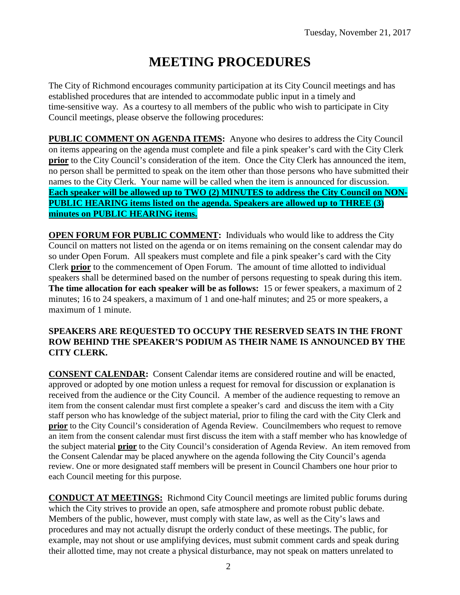# **MEETING PROCEDURES**

The City of Richmond encourages community participation at its City Council meetings and has established procedures that are intended to accommodate public input in a timely and time-sensitive way. As a courtesy to all members of the public who wish to participate in City Council meetings, please observe the following procedures:

**PUBLIC COMMENT ON AGENDA ITEMS:** Anyone who desires to address the City Council on items appearing on the agenda must complete and file a pink speaker's card with the City Clerk **prior** to the City Council's consideration of the item. Once the City Clerk has announced the item, no person shall be permitted to speak on the item other than those persons who have submitted their names to the City Clerk. Your name will be called when the item is announced for discussion. **Each speaker will be allowed up to TWO (2) MINUTES to address the City Council on NON-PUBLIC HEARING items listed on the agenda. Speakers are allowed up to THREE (3) minutes on PUBLIC HEARING items.**

**OPEN FORUM FOR PUBLIC COMMENT:** Individuals who would like to address the City Council on matters not listed on the agenda or on items remaining on the consent calendar may do so under Open Forum. All speakers must complete and file a pink speaker's card with the City Clerk **prior** to the commencement of Open Forum. The amount of time allotted to individual speakers shall be determined based on the number of persons requesting to speak during this item. **The time allocation for each speaker will be as follows:** 15 or fewer speakers, a maximum of 2 minutes; 16 to 24 speakers, a maximum of 1 and one-half minutes; and 25 or more speakers, a maximum of 1 minute.

#### **SPEAKERS ARE REQUESTED TO OCCUPY THE RESERVED SEATS IN THE FRONT ROW BEHIND THE SPEAKER'S PODIUM AS THEIR NAME IS ANNOUNCED BY THE CITY CLERK.**

**CONSENT CALENDAR:** Consent Calendar items are considered routine and will be enacted, approved or adopted by one motion unless a request for removal for discussion or explanation is received from the audience or the City Council. A member of the audience requesting to remove an item from the consent calendar must first complete a speaker's card and discuss the item with a City staff person who has knowledge of the subject material, prior to filing the card with the City Clerk and **prior** to the City Council's consideration of Agenda Review. Councilmembers who request to remove an item from the consent calendar must first discuss the item with a staff member who has knowledge of the subject material **prior** to the City Council's consideration of Agenda Review. An item removed from the Consent Calendar may be placed anywhere on the agenda following the City Council's agenda review. One or more designated staff members will be present in Council Chambers one hour prior to each Council meeting for this purpose.

**CONDUCT AT MEETINGS:** Richmond City Council meetings are limited public forums during which the City strives to provide an open, safe atmosphere and promote robust public debate. Members of the public, however, must comply with state law, as well as the City's laws and procedures and may not actually disrupt the orderly conduct of these meetings. The public, for example, may not shout or use amplifying devices, must submit comment cards and speak during their allotted time, may not create a physical disturbance, may not speak on matters unrelated to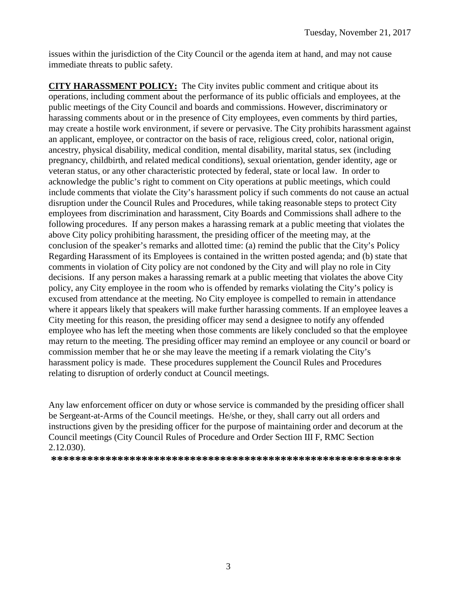issues within the jurisdiction of the City Council or the agenda item at hand, and may not cause immediate threats to public safety.

**CITY HARASSMENT POLICY:** The City invites public comment and critique about its operations, including comment about the performance of its public officials and employees, at the public meetings of the City Council and boards and commissions. However, discriminatory or harassing comments about or in the presence of City employees, even comments by third parties, may create a hostile work environment, if severe or pervasive. The City prohibits harassment against an applicant, employee, or contractor on the basis of race, religious creed, color, national origin, ancestry, physical disability, medical condition, mental disability, marital status, sex (including pregnancy, childbirth, and related medical conditions), sexual orientation, gender identity, age or veteran status, or any other characteristic protected by federal, state or local law. In order to acknowledge the public's right to comment on City operations at public meetings, which could include comments that violate the City's harassment policy if such comments do not cause an actual disruption under the Council Rules and Procedures, while taking reasonable steps to protect City employees from discrimination and harassment, City Boards and Commissions shall adhere to the following procedures. If any person makes a harassing remark at a public meeting that violates the above City policy prohibiting harassment, the presiding officer of the meeting may, at the conclusion of the speaker's remarks and allotted time: (a) remind the public that the City's Policy Regarding Harassment of its Employees is contained in the written posted agenda; and (b) state that comments in violation of City policy are not condoned by the City and will play no role in City decisions. If any person makes a harassing remark at a public meeting that violates the above City policy, any City employee in the room who is offended by remarks violating the City's policy is excused from attendance at the meeting. No City employee is compelled to remain in attendance where it appears likely that speakers will make further harassing comments. If an employee leaves a City meeting for this reason, the presiding officer may send a designee to notify any offended employee who has left the meeting when those comments are likely concluded so that the employee may return to the meeting. The presiding officer may remind an employee or any council or board or commission member that he or she may leave the meeting if a remark violating the City's harassment policy is made. These procedures supplement the Council Rules and Procedures relating to disruption of orderly conduct at Council meetings.

Any law enforcement officer on duty or whose service is commanded by the presiding officer shall be Sergeant-at-Arms of the Council meetings. He/she, or they, shall carry out all orders and instructions given by the presiding officer for the purpose of maintaining order and decorum at the Council meetings (City Council Rules of Procedure and Order Section III F, RMC Section 2.12.030).

**\*\*\*\*\*\*\*\*\*\*\*\*\*\*\*\*\*\*\*\*\*\*\*\*\*\*\*\*\*\*\*\*\*\*\*\*\*\*\*\*\*\*\*\*\*\*\*\*\*\*\*\*\*\*\*\*\*\***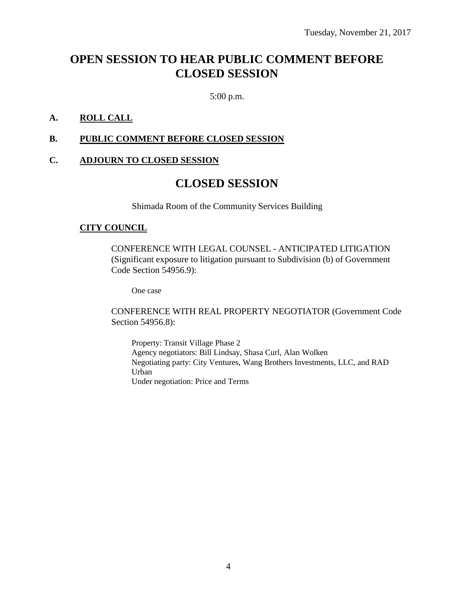# **OPEN SESSION TO HEAR PUBLIC COMMENT BEFORE CLOSED SESSION**

5:00 p.m.

#### **A. ROLL CALL**

#### **B. PUBLIC COMMENT BEFORE CLOSED SESSION**

#### **C. ADJOURN TO CLOSED SESSION**

### **CLOSED SESSION**

Shimada Room of the Community Services Building

#### **CITY COUNCIL**

CONFERENCE WITH LEGAL COUNSEL - ANTICIPATED LITIGATION (Significant exposure to litigation pursuant to Subdivision (b) of Government Code Section 54956.9):

One case

CONFERENCE WITH REAL PROPERTY NEGOTIATOR (Government Code Section 54956.8):

Property: Transit Village Phase 2 Agency negotiators: Bill Lindsay, Shasa Curl, Alan Wolken Negotiating party: City Ventures, Wang Brothers Investments, LLC, and RAD Urban Under negotiation: Price and Terms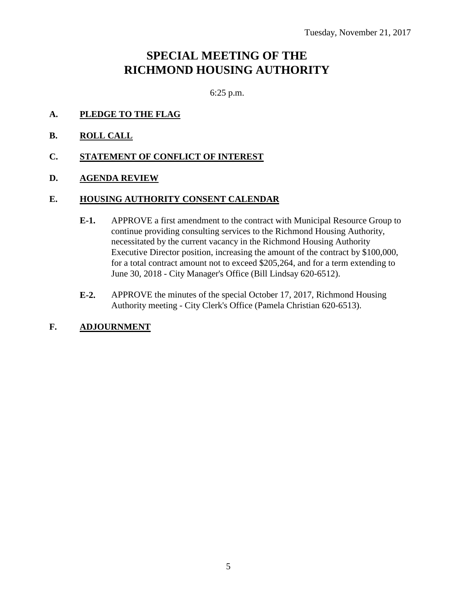# **SPECIAL MEETING OF THE RICHMOND HOUSING AUTHORITY**

6:25 p.m.

- **A. PLEDGE TO THE FLAG**
- **B. ROLL CALL**
- **C. STATEMENT OF CONFLICT OF INTEREST**
- **D. AGENDA REVIEW**

#### **E. HOUSING AUTHORITY CONSENT CALENDAR**

- **E-1.** APPROVE a first amendment to the contract with Municipal Resource Group to continue providing consulting services to the Richmond Housing Authority, necessitated by the current vacancy in the Richmond Housing Authority Executive Director position, increasing the amount of the contract by \$100,000, for a total contract amount not to exceed \$205,264, and for a term extending to June 30, 2018 - City Manager's Office (Bill Lindsay 620-6512).
- **E-2.** APPROVE the minutes of the special October 17, 2017, Richmond Housing Authority meeting - City Clerk's Office (Pamela Christian 620-6513).
- **F. ADJOURNMENT**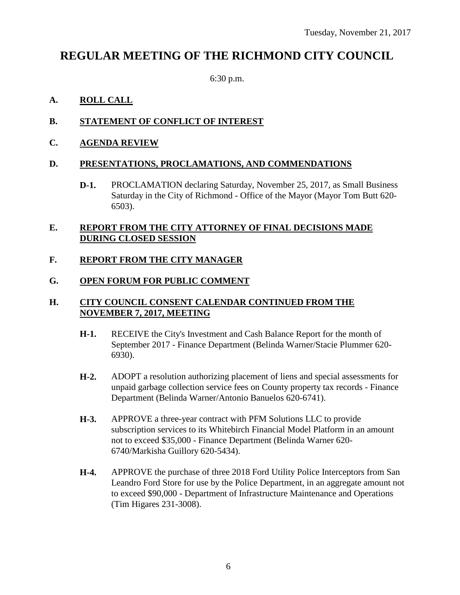# **REGULAR MEETING OF THE RICHMOND CITY COUNCIL**

6:30 p.m.

#### **A. ROLL CALL**

#### **B. STATEMENT OF CONFLICT OF INTEREST**

**C. AGENDA REVIEW**

#### **D. PRESENTATIONS, PROCLAMATIONS, AND COMMENDATIONS**

**D-1.** PROCLAMATION declaring Saturday, November 25, 2017, as Small Business Saturday in the City of Richmond - Office of the Mayor (Mayor Tom Butt 620- 6503).

#### **E. REPORT FROM THE CITY ATTORNEY OF FINAL DECISIONS MADE DURING CLOSED SESSION**

#### **F. REPORT FROM THE CITY MANAGER**

#### **G. OPEN FORUM FOR PUBLIC COMMENT**

#### **H. CITY COUNCIL CONSENT CALENDAR CONTINUED FROM THE NOVEMBER 7, 2017, MEETING**

- **H-1.** RECEIVE the City's Investment and Cash Balance Report for the month of September 2017 - Finance Department (Belinda Warner/Stacie Plummer 620- 6930).
- **H-2.** ADOPT a resolution authorizing placement of liens and special assessments for unpaid garbage collection service fees on County property tax records - Finance Department (Belinda Warner/Antonio Banuelos 620-6741).
- **H-3.** APPROVE a three-year contract with PFM Solutions LLC to provide subscription services to its Whitebirch Financial Model Platform in an amount not to exceed \$35,000 - Finance Department (Belinda Warner 620- 6740/Markisha Guillory 620-5434).
- **H-4.** APPROVE the purchase of three 2018 Ford Utility Police Interceptors from San Leandro Ford Store for use by the Police Department, in an aggregate amount not to exceed \$90,000 - Department of Infrastructure Maintenance and Operations (Tim Higares 231-3008).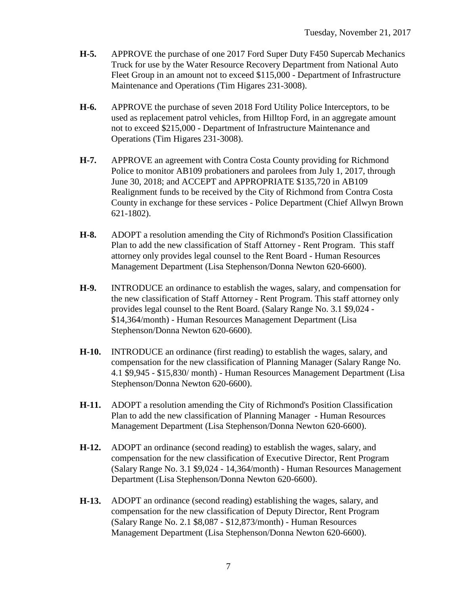- **H-5.** APPROVE the purchase of one 2017 Ford Super Duty F450 Supercab Mechanics Truck for use by the Water Resource Recovery Department from National Auto Fleet Group in an amount not to exceed \$115,000 - Department of Infrastructure Maintenance and Operations (Tim Higares 231-3008).
- **H-6.** APPROVE the purchase of seven 2018 Ford Utility Police Interceptors, to be used as replacement patrol vehicles, from Hilltop Ford, in an aggregate amount not to exceed \$215,000 - Department of Infrastructure Maintenance and Operations (Tim Higares 231-3008).
- **H-7.** APPROVE an agreement with Contra Costa County providing for Richmond Police to monitor AB109 probationers and parolees from July 1, 2017, through June 30, 2018; and ACCEPT and APPROPRIATE \$135,720 in AB109 Realignment funds to be received by the City of Richmond from Contra Costa County in exchange for these services - Police Department (Chief Allwyn Brown 621-1802).
- **H-8.** ADOPT a resolution amending the City of Richmond's Position Classification Plan to add the new classification of Staff Attorney - Rent Program. This staff attorney only provides legal counsel to the Rent Board - Human Resources Management Department (Lisa Stephenson/Donna Newton 620-6600).
- **H-9.** INTRODUCE an ordinance to establish the wages, salary, and compensation for the new classification of Staff Attorney - Rent Program. This staff attorney only provides legal counsel to the Rent Board. (Salary Range No. 3.1 \$9,024 - \$14,364/month) - Human Resources Management Department (Lisa Stephenson/Donna Newton 620-6600).
- **H-10.** INTRODUCE an ordinance (first reading) to establish the wages, salary, and compensation for the new classification of Planning Manager (Salary Range No. 4.1 \$9,945 - \$15,830/ month) - Human Resources Management Department (Lisa Stephenson/Donna Newton 620-6600).
- **H-11.** ADOPT a resolution amending the City of Richmond's Position Classification Plan to add the new classification of Planning Manager - Human Resources Management Department (Lisa Stephenson/Donna Newton 620-6600).
- **H-12.** ADOPT an ordinance (second reading) to establish the wages, salary, and compensation for the new classification of Executive Director, Rent Program (Salary Range No. 3.1 \$9,024 - 14,364/month) - Human Resources Management Department (Lisa Stephenson/Donna Newton 620-6600).
- **H-13.** ADOPT an ordinance (second reading) establishing the wages, salary, and compensation for the new classification of Deputy Director, Rent Program (Salary Range No. 2.1 \$8,087 - \$12,873/month) - Human Resources Management Department (Lisa Stephenson/Donna Newton 620-6600).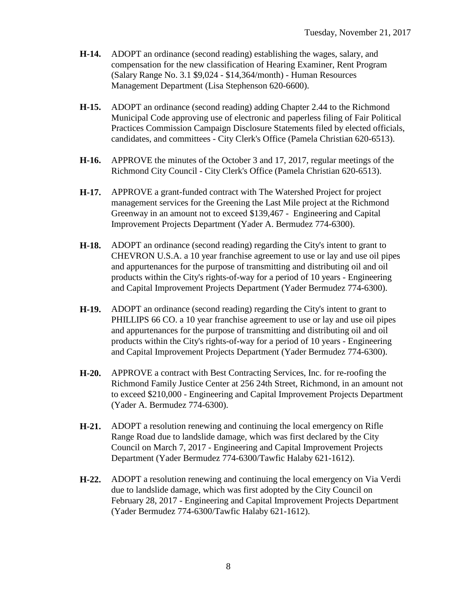- **H-14.** ADOPT an ordinance (second reading) establishing the wages, salary, and compensation for the new classification of Hearing Examiner, Rent Program (Salary Range No. 3.1 \$9,024 - \$14,364/month) - Human Resources Management Department (Lisa Stephenson 620-6600).
- **H-15.** ADOPT an ordinance (second reading) adding Chapter 2.44 to the Richmond Municipal Code approving use of electronic and paperless filing of Fair Political Practices Commission Campaign Disclosure Statements filed by elected officials, candidates, and committees - City Clerk's Office (Pamela Christian 620-6513).
- **H-16.** APPROVE the minutes of the October 3 and 17, 2017, regular meetings of the Richmond City Council - City Clerk's Office (Pamela Christian 620-6513).
- **H-17.** APPROVE a grant-funded contract with The Watershed Project for project management services for the Greening the Last Mile project at the Richmond Greenway in an amount not to exceed \$139,467 - Engineering and Capital Improvement Projects Department (Yader A. Bermudez 774-6300).
- **H-18.** ADOPT an ordinance (second reading) regarding the City's intent to grant to CHEVRON U.S.A. a 10 year franchise agreement to use or lay and use oil pipes and appurtenances for the purpose of transmitting and distributing oil and oil products within the City's rights-of-way for a period of 10 years - Engineering and Capital Improvement Projects Department (Yader Bermudez 774-6300).
- **H-19.** ADOPT an ordinance (second reading) regarding the City's intent to grant to PHILLIPS 66 CO. a 10 year franchise agreement to use or lay and use oil pipes and appurtenances for the purpose of transmitting and distributing oil and oil products within the City's rights-of-way for a period of 10 years - Engineering and Capital Improvement Projects Department (Yader Bermudez 774-6300).
- **H-20.** APPROVE a contract with Best Contracting Services, Inc. for re-roofing the Richmond Family Justice Center at 256 24th Street, Richmond, in an amount not to exceed \$210,000 - Engineering and Capital Improvement Projects Department (Yader A. Bermudez 774-6300).
- **H-21.** ADOPT a resolution renewing and continuing the local emergency on Rifle Range Road due to landslide damage, which was first declared by the City Council on March 7, 2017 - Engineering and Capital Improvement Projects Department (Yader Bermudez 774-6300/Tawfic Halaby 621-1612).
- **H-22.** ADOPT a resolution renewing and continuing the local emergency on Via Verdi due to landslide damage, which was first adopted by the City Council on February 28, 2017 - Engineering and Capital Improvement Projects Department (Yader Bermudez 774-6300/Tawfic Halaby 621-1612).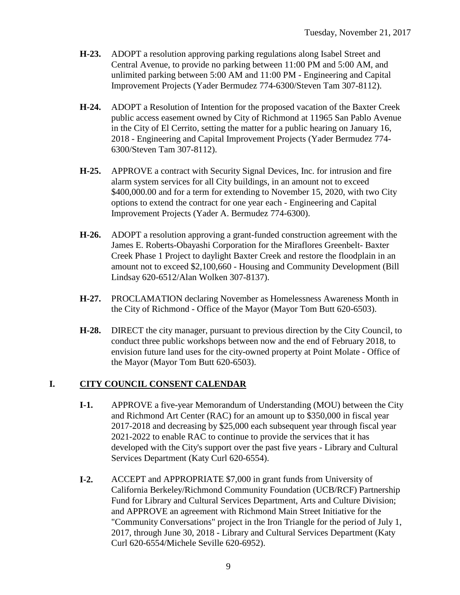- **H-23.** ADOPT a resolution approving parking regulations along Isabel Street and Central Avenue, to provide no parking between 11:00 PM and 5:00 AM, and unlimited parking between 5:00 AM and 11:00 PM - Engineering and Capital Improvement Projects (Yader Bermudez 774-6300/Steven Tam 307-8112).
- **H-24.** ADOPT a Resolution of Intention for the proposed vacation of the Baxter Creek public access easement owned by City of Richmond at 11965 San Pablo Avenue in the City of El Cerrito, setting the matter for a public hearing on January 16, 2018 - Engineering and Capital Improvement Projects (Yader Bermudez 774- 6300/Steven Tam 307-8112).
- **H-25.** APPROVE a contract with Security Signal Devices, Inc. for intrusion and fire alarm system services for all City buildings, in an amount not to exceed \$400,000.00 and for a term for extending to November 15, 2020, with two City options to extend the contract for one year each - Engineering and Capital Improvement Projects (Yader A. Bermudez 774-6300).
- **H-26.** ADOPT a resolution approving a grant-funded construction agreement with the James E. Roberts-Obayashi Corporation for the Miraflores Greenbelt- Baxter Creek Phase 1 Project to daylight Baxter Creek and restore the floodplain in an amount not to exceed \$2,100,660 - Housing and Community Development (Bill Lindsay 620-6512/Alan Wolken 307-8137).
- **H-27.** PROCLAMATION declaring November as Homelessness Awareness Month in the City of Richmond - Office of the Mayor (Mayor Tom Butt 620-6503).
- **H-28.** DIRECT the city manager, pursuant to previous direction by the City Council, to conduct three public workshops between now and the end of February 2018, to envision future land uses for the city-owned property at Point Molate - Office of the Mayor (Mayor Tom Butt 620-6503).

#### **I. CITY COUNCIL CONSENT CALENDAR**

- **I-1.** APPROVE a five-year Memorandum of Understanding (MOU) between the City and Richmond Art Center (RAC) for an amount up to \$350,000 in fiscal year 2017-2018 and decreasing by \$25,000 each subsequent year through fiscal year 2021-2022 to enable RAC to continue to provide the services that it has developed with the City's support over the past five years - Library and Cultural Services Department (Katy Curl 620-6554).
- **I-2.** ACCEPT and APPROPRIATE \$7,000 in grant funds from University of California Berkeley/Richmond Community Foundation (UCB/RCF) Partnership Fund for Library and Cultural Services Department, Arts and Culture Division; and APPROVE an agreement with Richmond Main Street Initiative for the "Community Conversations" project in the Iron Triangle for the period of July 1, 2017, through June 30, 2018 - Library and Cultural Services Department (Katy Curl 620-6554/Michele Seville 620-6952).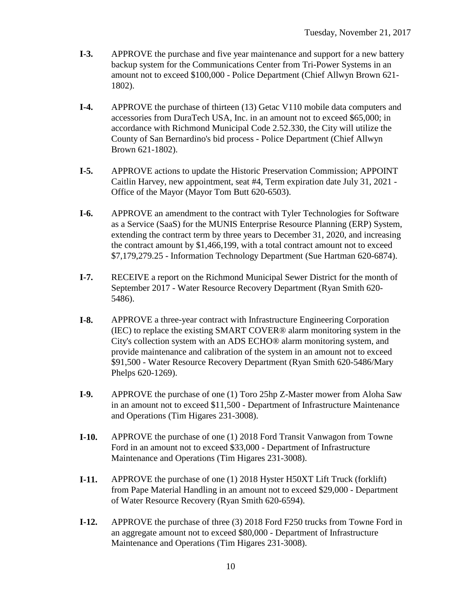- **I-3.** APPROVE the purchase and five year maintenance and support for a new battery backup system for the Communications Center from Tri-Power Systems in an amount not to exceed \$100,000 - Police Department (Chief Allwyn Brown 621- 1802).
- **I-4.** APPROVE the purchase of thirteen (13) Getac V110 mobile data computers and accessories from DuraTech USA, Inc. in an amount not to exceed \$65,000; in accordance with Richmond Municipal Code 2.52.330, the City will utilize the County of San Bernardino's bid process - Police Department (Chief Allwyn Brown 621-1802).
- **I-5.** APPROVE actions to update the Historic Preservation Commission; APPOINT Caitlin Harvey, new appointment, seat #4, Term expiration date July 31, 2021 - Office of the Mayor (Mayor Tom Butt 620-6503).
- **I-6.** APPROVE an amendment to the contract with Tyler Technologies for Software as a Service (SaaS) for the MUNIS Enterprise Resource Planning (ERP) System, extending the contract term by three years to December 31, 2020, and increasing the contract amount by \$1,466,199, with a total contract amount not to exceed \$7,179,279.25 - Information Technology Department (Sue Hartman 620-6874).
- **I-7.** RECEIVE a report on the Richmond Municipal Sewer District for the month of September 2017 - Water Resource Recovery Department (Ryan Smith 620- 5486).
- **I-8.** APPROVE a three-year contract with Infrastructure Engineering Corporation (IEC) to replace the existing SMART COVER® alarm monitoring system in the City's collection system with an ADS ECHO® alarm monitoring system, and provide maintenance and calibration of the system in an amount not to exceed \$91,500 - Water Resource Recovery Department (Ryan Smith 620-5486/Mary Phelps 620-1269).
- **I-9.** APPROVE the purchase of one (1) Toro 25hp Z-Master mower from Aloha Saw in an amount not to exceed \$11,500 - Department of Infrastructure Maintenance and Operations (Tim Higares 231-3008).
- **I-10.** APPROVE the purchase of one (1) 2018 Ford Transit Vanwagon from Towne Ford in an amount not to exceed \$33,000 - Department of Infrastructure Maintenance and Operations (Tim Higares 231-3008).
- **I-11.** APPROVE the purchase of one (1) 2018 Hyster H50XT Lift Truck (forklift) from Pape Material Handling in an amount not to exceed \$29,000 - Department of Water Resource Recovery (Ryan Smith 620-6594).
- **I-12.** APPROVE the purchase of three (3) 2018 Ford F250 trucks from Towne Ford in an aggregate amount not to exceed \$80,000 - Department of Infrastructure Maintenance and Operations (Tim Higares 231-3008).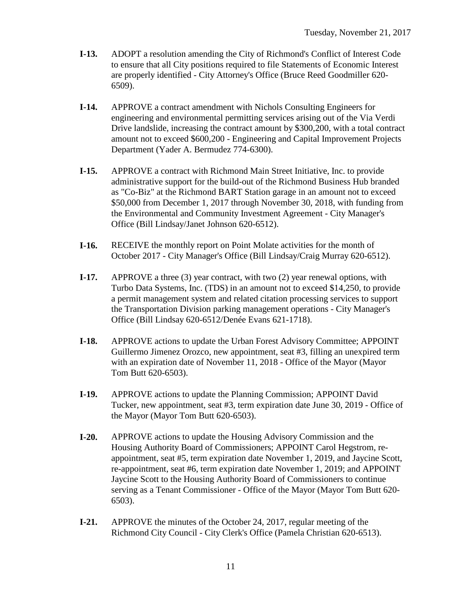- **I-13.** ADOPT a resolution amending the City of Richmond's Conflict of Interest Code to ensure that all City positions required to file Statements of Economic Interest are properly identified - City Attorney's Office (Bruce Reed Goodmiller 620- 6509).
- **I-14.** APPROVE a contract amendment with Nichols Consulting Engineers for engineering and environmental permitting services arising out of the Via Verdi Drive landslide, increasing the contract amount by \$300,200, with a total contract amount not to exceed \$600,200 - Engineering and Capital Improvement Projects Department (Yader A. Bermudez 774-6300).
- **I-15.** APPROVE a contract with Richmond Main Street Initiative, Inc. to provide administrative support for the build-out of the Richmond Business Hub branded as "Co-Biz" at the Richmond BART Station garage in an amount not to exceed \$50,000 from December 1, 2017 through November 30, 2018, with funding from the Environmental and Community Investment Agreement - City Manager's Office (Bill Lindsay/Janet Johnson 620-6512).
- **I-16.** RECEIVE the monthly report on Point Molate activities for the month of October 2017 - City Manager's Office (Bill Lindsay/Craig Murray 620-6512).
- **I-17.** APPROVE a three (3) year contract, with two (2) year renewal options, with Turbo Data Systems, Inc. (TDS) in an amount not to exceed \$14,250, to provide a permit management system and related citation processing services to support the Transportation Division parking management operations - City Manager's Office (Bill Lindsay 620-6512/Denée Evans 621-1718).
- **I-18.** APPROVE actions to update the Urban Forest Advisory Committee; APPOINT Guillermo Jimenez Orozco, new appointment, seat #3, filling an unexpired term with an expiration date of November 11, 2018 - Office of the Mayor (Mayor Tom Butt 620-6503).
- **I-19.** APPROVE actions to update the Planning Commission; APPOINT David Tucker, new appointment, seat #3, term expiration date June 30, 2019 - Office of the Mayor (Mayor Tom Butt 620-6503).
- **I-20.** APPROVE actions to update the Housing Advisory Commission and the Housing Authority Board of Commissioners; APPOINT Carol Hegstrom, reappointment, seat #5, term expiration date November 1, 2019, and Jaycine Scott, re-appointment, seat #6, term expiration date November 1, 2019; and APPOINT Jaycine Scott to the Housing Authority Board of Commissioners to continue serving as a Tenant Commissioner - Office of the Mayor (Mayor Tom Butt 620- 6503).
- **I-21.** APPROVE the minutes of the October 24, 2017, regular meeting of the Richmond City Council - City Clerk's Office (Pamela Christian 620-6513).